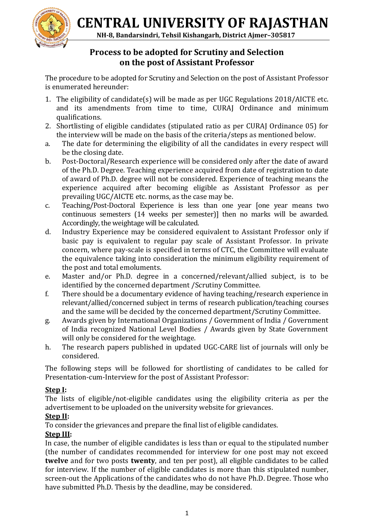**CENTRAL UNIVERSITY OF RAJASTHAN**

 **NH-8, Bandarsindri, Tehsil Kishangarh, District Ajmer–305817**



# **Process to be adopted for Scrutiny and Selection on the post of Assistant Professor**

The procedure to be adopted for Scrutiny and Selection on the post of Assistant Professor is enumerated hereunder:

- 1. The eligibility of candidate(s) will be made as per UGC Regulations 2018/AICTE etc. and its amendments from time to time, CURAJ Ordinance and minimum qualifications.
- 2. Shortlisting of eligible candidates (stipulated ratio as per CURAJ Ordinance 05) for the interview will be made on the basis of the criteria/steps as mentioned below.
- a. The date for determining the eligibility of all the candidates in every respect will be the closing date.
- b. Post-Doctoral/Research experience will be considered only after the date of award of the Ph.D. Degree. Teaching experience acquired from date of registration to date of award of Ph.D. degree will not be considered. Experience of teaching means the experience acquired after becoming eligible as Assistant Professor as per prevailing UGC/AICTE etc. norms, as the case may be.
- c. Teaching/Post-Doctoral Experience is less than one year [one year means two continuous semesters (14 weeks per semester)] then no marks will be awarded. Accordingly, the weightage will be calculated.
- d. Industry Experience may be considered equivalent to Assistant Professor only if basic pay is equivalent to regular pay scale of Assistant Professor. In private concern, where pay-scale is specified in terms of CTC, the Committee will evaluate the equivalence taking into consideration the minimum eligibility requirement of the post and total emoluments.
- e. Master and/or Ph.D. degree in a concerned/relevant/allied subject, is to be identified by the concerned department /Scrutiny Committee.
- f. There should be a documentary evidence of having teaching/research experience in relevant/allied/concerned subject in terms of research publication/teaching courses and the same will be decided by the concerned department/Scrutiny Committee.
- g. Awards given by International Organizations / Government of India / Government of India recognized National Level Bodies / Awards given by State Government will only be considered for the weightage.
- h. The research papers published in updated UGC-CARE list of journals will only be considered.

The following steps will be followed for shortlisting of candidates to be called for Presentation-cum-Interview for the post of Assistant Professor:

## **Step I:**

The lists of eligible/not-eligible candidates using the eligibility criteria as per the advertisement to be uploaded on the university website for grievances.

## **Step II:**

To consider the grievances and prepare the final list of eligible candidates.

## **Step III:**

In case, the number of eligible candidates is less than or equal to the stipulated number (the number of candidates recommended for interview for one post may not exceed **twelve** and for two posts **twenty**, and ten per post), all eligible candidates to be called for interview. If the number of eligible candidates is more than this stipulated number, screen-out the Applications of the candidates who do not have Ph.D. Degree. Those who have submitted Ph.D. Thesis by the deadline, may be considered.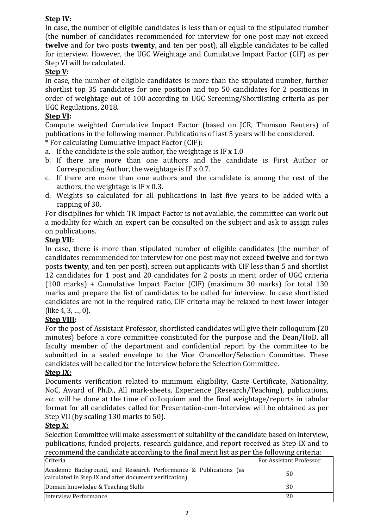## **Step IV:**

In case, the number of eligible candidates is less than or equal to the stipulated number (the number of candidates recommended for interview for one post may not exceed **twelve** and for two posts **twenty**, and ten per post), all eligible candidates to be called for interview. However, the UGC Weightage and Cumulative Impact Factor (CIF) as per Step VI will be calculated.

### **Step V:**

In case, the number of eligible candidates is more than the stipulated number, further shortlist top 35 candidates for one position and top 50 candidates for 2 positions in order of weightage out of 100 according to UGC Screening/Shortlisting criteria as per UGC Regulations, 2018.

#### **Step VI:**

Compute weighted Cumulative Impact Factor (based on JCR, Thomson Reuters) of publications in the following manner. Publications of last 5 years will be considered.

\* For calculating Cumulative Impact Factor (CIF):

- a. If the candidate is the sole author, the weightage is IF x 1.0
- b. If there are more than one authors and the candidate is First Author or Corresponding Author, the weightage is IF x 0.7.
- c. If there are more than one authors and the candidate is among the rest of the authors, the weightage is IF x 0.3.
- d. Weights so calculated for all publications in last five years to be added with a capping of 30.

For disciplines for which TR Impact Factor is not available, the committee can work out a modality for which an expert can be consulted on the subject and ask to assign rules on publications.

#### **Step VII:**

In case, there is more than stipulated number of eligible candidates (the number of candidates recommended for interview for one post may not exceed **twelve** and for two posts **twenty**, and ten per post), screen out applicants with CIF less than 5 and shortlist 12 candidates for 1 post and 20 candidates for 2 posts in merit order of UGC criteria (100 marks) + Cumulative Impact Factor (CIF) (maximum 30 marks) for total 130 marks and prepare the list of candidates to be called for interview. In case shortlisted candidates are not in the required ratio, CIF criteria may be relaxed to next lower integer (like 4, 3, …, 0).

#### **Step VIII:**

For the post of Assistant Professor, shortlisted candidates will give their colloquium (20 minutes) before a core committee constituted for the purpose and the Dean/HoD, all faculty member of the department and confidential report by the committee to be submitted in a sealed envelope to the Vice Chancellor/Selection Committee. These candidates will be called for the Interview before the Selection Committee.

#### **Step IX:**

Documents verification related to minimum eligibility, Caste Certificate, Nationality, NoC, Award of Ph.D., All mark-sheets, Experience (Research/Teaching), publications, *etc.* will be done at the time of colloquium and the final weightage/reports in tabular format for all candidates called for Presentation-cum-Interview will be obtained as per Step VII (by scaling 130 marks to 50).

#### **Step X:**

Selection Committee will make assessment of suitability of the candidate based on interview, publications, funded projects, research guidance, and report received as Step IX and to recommend the candidate according to the final merit list as per the following criteria:

| Criteria                                                                                                                   | For Assistant Professor |
|----------------------------------------------------------------------------------------------------------------------------|-------------------------|
| Academic Background, and Research Performance & Publications (as<br>calculated in Step IX and after document verification) | 50                      |
| Domain knowledge & Teaching Skills                                                                                         | 30                      |
| Interview Performance                                                                                                      | 20                      |